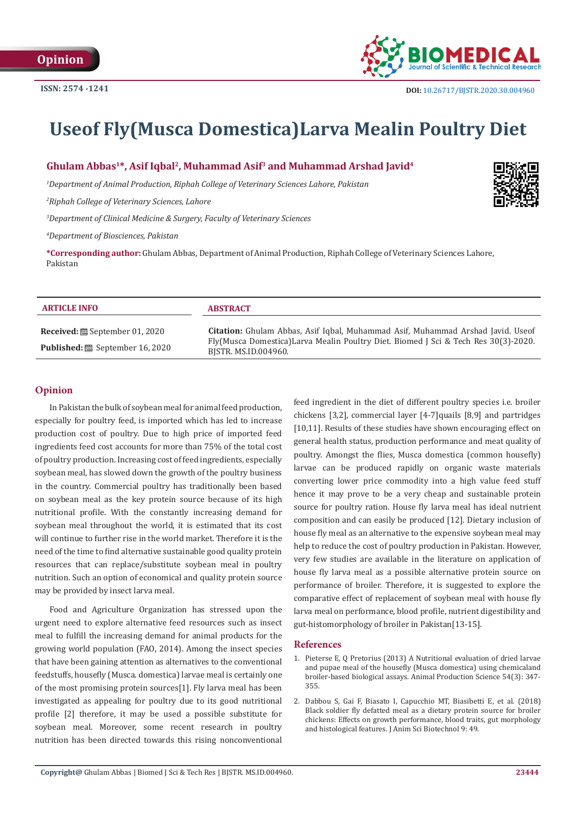

# **Useof Fly(Musca Domestica)Larva Mealin Poultry Diet**

# **Ghulam Abbas1\*, Asif Iqbal2, Muhammad Asif3 and Muhammad Arshad Javid4**

*1 Department of Animal Production, Riphah College of Veterinary Sciences Lahore, Pakistan*

*2 Riphah College of Veterinary Sciences, Lahore*

*3 Department of Clinical Medicine & Surgery, Faculty of Veterinary Sciences*

*4 Department of Biosciences, Pakistan*

**\*Corresponding author:** Ghulam Abbas, Department of Animal Production, Riphah College of Veterinary Sciences Lahore, Pakistan

| <b>ARTICLE INFO</b>                                                                        | <b>ABSTRACT</b>                                                                                                                                                                                      |
|--------------------------------------------------------------------------------------------|------------------------------------------------------------------------------------------------------------------------------------------------------------------------------------------------------|
| <b>Received:</b> $\mathbf{B}$ September 01, 2020<br><b>Published:</b> 圖 September 16, 2020 | <b>Citation:</b> Ghulam Abbas, Asif Igbal, Muhammad Asif, Muhammad Arshad Javid. Useof<br>Fly(Musca Domestica)Larva Mealin Poultry Diet. Biomed J Sci & Tech Res 30(3)-2020.<br>BISTR. MS.ID.004960. |

## **Opinion**

In Pakistan the bulk of soybean meal for animal feed production, especially for poultry feed, is imported which has led to increase production cost of poultry. Due to high price of imported feed ingredients feed cost accounts for more than 75% of the total cost of poultry production. Increasing cost of feed ingredients, especially soybean meal, has slowed down the growth of the poultry business in the country. Commercial poultry has traditionally been based on soybean meal as the key protein source because of its high nutritional profile. With the constantly increasing demand for soybean meal throughout the world, it is estimated that its cost will continue to further rise in the world market. Therefore it is the need of the time to find alternative sustainable good quality protein resources that can replace/substitute soybean meal in poultry nutrition. Such an option of economical and quality protein source may be provided by insect larva meal.

Food and Agriculture Organization has stressed upon the urgent need to explore alternative feed resources such as insect meal to fulfill the increasing demand for animal products for the growing world population (FAO, 2014). Among the insect species that have been gaining attention as alternatives to the conventional feedstuffs, housefly (Musca. domestica) larvae meal is certainly one of the most promising protein sources[1]. Fly larva meal has been investigated as appealing for poultry due to its good nutritional profile [2] therefore, it may be used a possible substitute for soybean meal. Moreover, some recent research in poultry nutrition has been directed towards this rising nonconventional feed ingredient in the diet of different poultry species i.e. broiler chickens [3,2], commercial layer [4-7]quails [8,9] and partridges [10,11]. Results of these studies have shown encouraging effect on general health status, production performance and meat quality of poultry. Amongst the flies, Musca domestica (common housefly) larvae can be produced rapidly on organic waste materials converting lower price commodity into a high value feed stuff hence it may prove to be a very cheap and sustainable protein source for poultry ration. House fly larva meal has ideal nutrient composition and can easily be produced [12]. Dietary inclusion of house fly meal as an alternative to the expensive soybean meal may help to reduce the cost of poultry production in Pakistan. However, very few studies are available in the literature on application of house fly larva meal as a possible alternative protein source on performance of broiler. Therefore, it is suggested to explore the comparative effect of replacement of soybean meal with house fly larva meal on performance, blood profile, nutrient digestibility and gut-histomorphology of broiler in Pakistan[13-15].

#### **References**

- 1. [Pieterse E, Q Pretorius \(2013\) A Nutritional evaluation of dried larvae](https://www.publish.csiro.au/an/AN12370) [and pupae meal of the housefly \(Musca domestica\) using chemicaland](https://www.publish.csiro.au/an/AN12370) [broiler-based biological assays. Animal Production Science 54\(3\): 347-](https://www.publish.csiro.au/an/AN12370) [355.](https://www.publish.csiro.au/an/AN12370)
- 2. [Dabbou S, Gai F, Biasato I, Capucchio MT, Biasibetti E, et al. \(2018\)](https://pubmed.ncbi.nlm.nih.gov/30002825/) [Black soldier fly defatted meal as a dietary protein source for broiler](https://pubmed.ncbi.nlm.nih.gov/30002825/) [chickens: Effects on growth performance, blood traits, gut morphology](https://pubmed.ncbi.nlm.nih.gov/30002825/) [and histological features. J Anim Sci Biotechnol 9: 49.](https://pubmed.ncbi.nlm.nih.gov/30002825/)